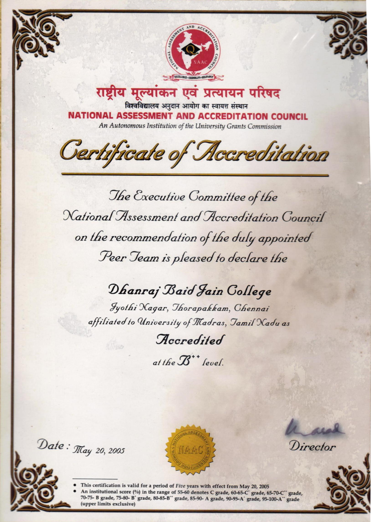

राष्ट्रीय मूल्यांकन एवं प्रत्यायन परिषद विश्वविद्यालय अनुदान आयोग का स्वायत्त संस्थान **NATIONAL ASSESSMENT AND ACCREDITATION COUNCIL** An Autonomous Institution of the University Grants Commission

Certificate of Accreditation

The Executive Committee of the National Assessment and Accreditation Council on the recommendation of the duly appointed Peer Jeam is pleased to declare the

## Dhanraj Baid Jain College

Jyothi Xagar, Thorapakkam, Chennai affiliated to University of Madras, Jamil Nadu as

Accredited

at the  $\mathcal{B}^{**}$  level.

Date:  $\pi$ ay 20, 2005

(upper limits exclusive)



Director



This certification is valid for a period of Five years with effect from May 20, 2005 An institutional score (%) in the range of 55-60 denotes C grade, 60-65-C' grade, 65-70-C" grade, 70-75- B grade, 75-80- B' grade, 80-85-B" grade, 85-90- A grade, 90-95-A' grade, 95-100-A" grade